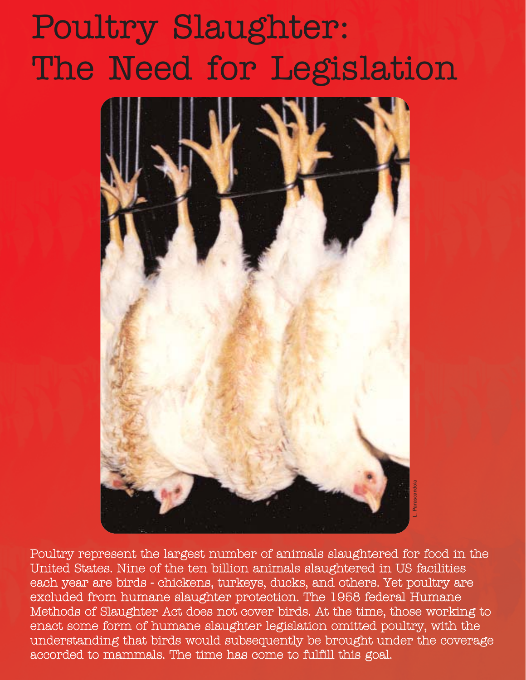# Poultry Slaughter: The Need for Legislation



Poultry represent the largest number of animals slaughtered for food in the United States. Nine of the ten billion animals slaughtered in US facilities each year are birds - chickens, turkeys, ducks, and others. Yet poultry are excluded from humane slaughter protection. The 1958 federal Humane Methods of Slaughter Act does not cover birds. At the time, those working to enact some form of humane slaughter legislation omitted poultry, with the understanding that birds would subsequently be brought under the coverage accorded to mammals. The time has come to fulfill this goal.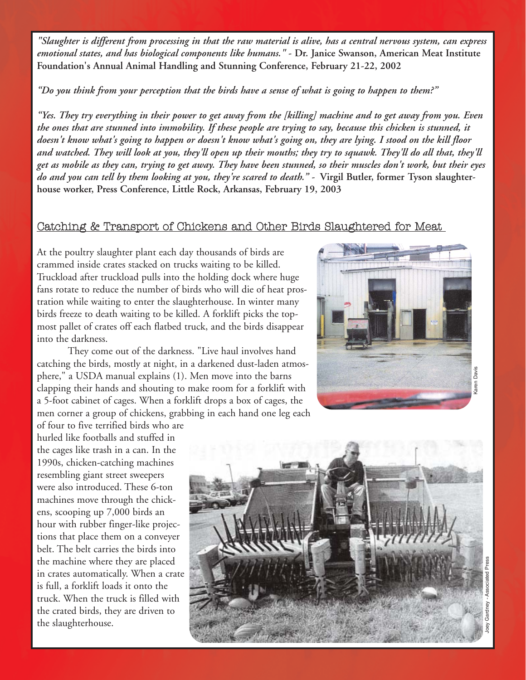*"Slaughter is different from processing in that the raw material is alive, has a central nervous system, can express emotional states, and has biological components like humans."* **- Dr. Janice Swanson, American Meat Institute Foundation's Annual Animal Handling and Stunning Conference, February 21-22, 2002**

*"Do you think from your perception that the birds have a sense of what is going to happen to them?"*

*"Yes. They try everything in their power to get away from the [killing] machine and to get away from you. Even the ones that are stunned into immobility. If these people are trying to say, because this chicken is stunned, it doesn't know what's going to happen or doesn't know what's going on, they are lying. I stood on the kill floor and watched. They will look at you, they'll open up their mouths; they try to squawk. They'll do all that, they'll get as mobile as they can, trying to get away. They have been stunned, so their muscles don't work, but their eyes* do and you can tell by them looking at you, they're scared to death." - Virgil Butler, former Tyson slaughter**house worker, Press Conference, Little Rock, Arkansas, February 19, 2003**

#### Catching & Transport of Chickens and Other Birds Slaughtered for Meat

At the poultry slaughter plant each day thousands of birds are crammed inside crates stacked on trucks waiting to be killed. Truckload after truckload pulls into the holding dock where huge fans rotate to reduce the number of birds who will die of heat prostration while waiting to enter the slaughterhouse. In winter many birds freeze to death waiting to be killed. A forklift picks the topmost pallet of crates off each flatbed truck, and the birds disappear into the darkness.

They come out of the darkness. "Live haul involves hand catching the birds, mostly at night, in a darkened dust-laden atmosphere," a USDA manual explains (1). Men move into the barns clapping their hands and shouting to make room for a forklift with a 5-foot cabinet of cages. When a forklift drops a box of cages, the men corner a group of chickens, grabbing in each hand one leg each



Karen Davis

of four to five terrified birds who are hurled like footballs and stuffed in the cages like trash in a can. In the 1990s, chicken-catching machines resembling giant street sweepers were also introduced. These 6-ton machines move through the chickens, scooping up 7,000 birds an hour with rubber finger-like projections that place them on a conveyer belt. The belt carries the birds into the machine where they are placed in crates automatically. When a crate is full, a forklift loads it onto the truck. When the truck is filled with the crated birds, they are driven to the slaughterhouse.

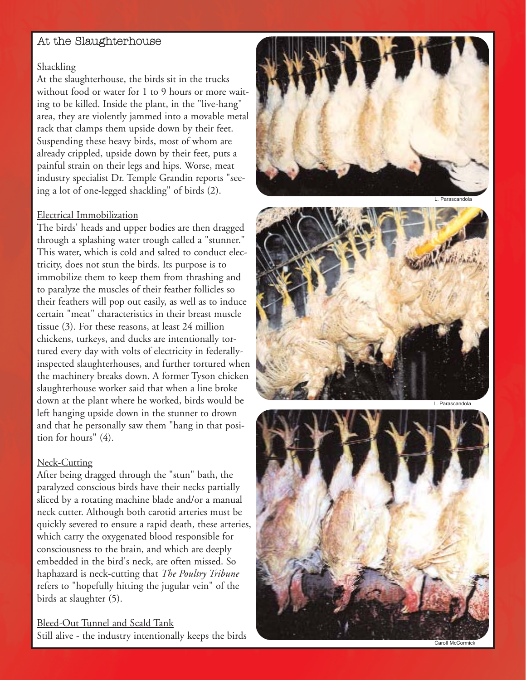## <u>At the Slaughterhouse</u>

#### Shackling

At the slaughterhouse, the birds sit in the trucks without food or water for 1 to 9 hours or more waiting to be killed. Inside the plant, in the "live-hang" area, they are violently jammed into a movable metal rack that clamps them upside down by their feet. Suspending these heavy birds, most of whom are already crippled, upside down by their feet, puts a painful strain on their legs and hips. Worse, meat industry specialist Dr. Temple Grandin reports "seeing a lot of one-legged shackling" of birds (2).

#### Electrical Immobilization

The birds' heads and upper bodies are then dragged through a splashing water trough called a "stunner." This water, which is cold and salted to conduct electricity, does not stun the birds. Its purpose is to immobilize them to keep them from thrashing and to paralyze the muscles of their feather follicles so their feathers will pop out easily, as well as to induce certain "meat" characteristics in their breast muscle tissue (3). For these reasons, at least 24 million chickens, turkeys, and ducks are intentionally tortured every day with volts of electricity in federallyinspected slaughterhouses, and further tortured when the machinery breaks down. A former Tyson chicken slaughterhouse worker said that when a line broke down at the plant where he worked, birds would be left hanging upside down in the stunner to drown and that he personally saw them "hang in that position for hours" (4).

#### Neck-Cutting

After being dragged through the "stun" bath, the paralyzed conscious birds have their necks partially sliced by a rotating machine blade and/or a manual neck cutter. Although both carotid arteries must be quickly severed to ensure a rapid death, these arteries, which carry the oxygenated blood responsible for consciousness to the brain, and which are deeply embedded in the bird's neck, are often missed. So haphazard is neck-cutting that *The Poultry Tribune* refers to "hopefully hitting the jugular vein" of the birds at slaughter (5).<br><u>Bleed-Out Tunnel and Scald Tank</u>

Still alive - the industry intentionally keeps the birds





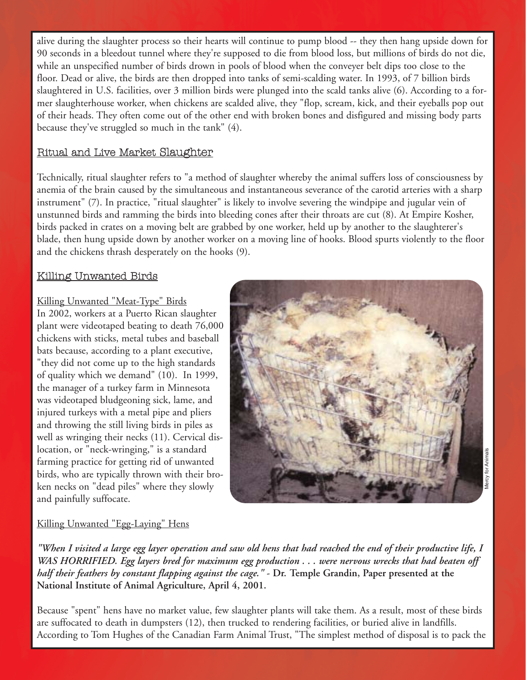alive during the slaughter process so their hearts will continue to pump blood -- they then hang upside down for 90 seconds in a bleedout tunnel where they're supposed to die from blood loss, but millions of birds do not die, while an unspecified number of birds drown in pools of blood when the conveyer belt dips too close to the floor. Dead or alive, the birds are then dropped into tanks of semi-scalding water. In 1993, of 7 billion birds slaughtered in U.S. facilities, over 3 million birds were plunged into the scald tanks alive (6). According to a former slaughterhouse worker, when chickens are scalded alive, they "flop, scream, kick, and their eyeballs pop out of their heads. They often come out of the other end with broken bones and disfigured and missing body parts because they've struggled so much in the tank" (4).

## Ritual and Live Market Slaughter

Technically, ritual slaughter refers to "a method of slaughter whereby the animal suffers loss of consciousness by anemia of the brain caused by the simultaneous and instantaneous severance of the carotid arteries with a sharp instrument" (7). In practice, "ritual slaughter" is likely to involve severing the windpipe and jugular vein of unstunned birds and ramming the birds into bleeding cones after their throats are cut (8). At Empire Kosher, birds packed in crates on a moving belt are grabbed by one worker, held up by another to the slaughterer's blade, then hung upside down by another worker on a moving line of hooks. Blood spurts violently to the floor and the chickens thrash desperately on the hooks (9).

## Killing Unwanted Birds

Killing Unwanted "Meat-Type" Birds

In 2002, workers at a Puerto Rican slaughter plant were videotaped beating to death 76,000 chickens with sticks, metal tubes and baseball bats because, according to a plant executive, "they did not come up to the high standards of quality which we demand" (10). In 1999, the manager of a turkey farm in Minnesota was videotaped bludgeoning sick, lame, and injured turkeys with a metal pipe and pliers and throwing the still living birds in piles as well as wringing their necks (11). Cervical dislocation, or "neck-wringing," is a standard farming practice for getting rid of unwanted birds, who are typically thrown with their broken necks on "dead piles" where they slowly and painfully suffocate.



#### Killing Unwanted "Egg-Laying" Hens

*"When I visited a large egg layer operation and saw old hens that had reached the end of their productive life, I WAS HORRIFIED. Egg layers bred for maximum egg production . . . were nervous wrecks that had beaten off half their feathers by constant flapping against the cage."* **- Dr. Temple Grandin, Paper presented at the National Institute of Animal Agriculture, April 4, 2001.** According to Tom Hughes of the Canadian Farm Animal Trust, "The simplest method of disposal is to pack the Canadian Farm Animal Trust, "Wen I visited a large egg layer operation and saw old bens that had reached the end of

Because "spent" hens have no market value, few slaughter plants will take them. As a result, most of these birds are suffocated to death in dumpsters (12), then trucked to rendering facilities, or buried alive in landfills.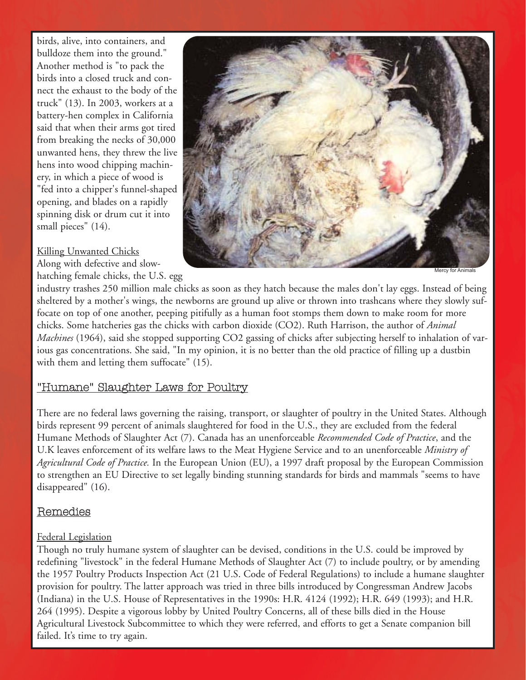birds, alive, into containers, and bulldoze them into the ground." Another method is "to pack the birds into a closed truck and connect the exhaust to the body of the truck" (13). In 2003, workers at a battery-hen complex in California said that when their arms got tired from breaking the necks of 30,000 unwanted hens, they threw the live hens into wood chipping machinery, in which a piece of wood is "fed into a chipper's funnel-shaped opening, and blades on a rapidly spinning disk or drum cut it into small pieces" (14).

## Killing Unwanted Chicks

Along with defective and slowhatching female chicks, the U.S. egg



Mercy for Animals

industry trashes 250 million male chicks as soon as they hatch because the males don't lay eggs. Instead of being sheltered by a mother's wings, the newborns are ground up alive or thrown into trashcans where they slowly suffocate on top of one another, peeping pitifully as a human foot stomps them down to make room for more chicks. Some hatcheries gas the chicks with carbon dioxide (CO2). Ruth Harrison, the author of *Animal Machines* (1964), said she stopped supporting CO2 gassing of chicks after subjecting herself to inhalation of various gas concentrations. She said, "In my opinion, it is no better than the old practice of filling up a dustbin with them and letting them suffocate" (15).

## "Humane" Slaughter Laws for Poultry

There are no federal laws governing the raising, transport, or slaughter of poultry in the United States. Although birds represent 99 percent of animals slaughtered for food in the U.S., they are excluded from the federal Humane Methods of Slaughter Act (7). Canada has an unenforceable *Recommended Code of Practice*, and the U.K leaves enforcement of its welfare laws to the Meat Hygiene Service and to an unenforceable *Ministry of Agricultural Code of Practice.* In the European Union (EU), a 1997 draft proposal by the European Commission to strengthen an EU Directive to set legally binding stunning standards for birds and mammals "seems to have disappeared" (16).

## Remedies

## Federal Legislation

Though no truly humane system of slaughter can be devised, conditions in the U.S. could be improved by redefining "livestock" in the federal Humane Methods of Slaughter Act (7) to include poultry, or by amending the 1957 Poultry Products Inspection Act (21 U.S. Code of Federal Regulations) to include a humane slaughter provision for poultry. The latter approach was tried in three bills introduced by Congressman Andrew Jacobs (Indiana) in the U.S. House of Representatives in the 1990s: H.R. 4124 (1992); H.R. 649 (1993); and H.R. 264 (1995). Despite a vigorous lobby by United Poultry Concerns, all of these bills died in the House Agricultural Livestock Subcommittee to which they were referred, and efforts to get a Senate companion bill failed. It's time to try again.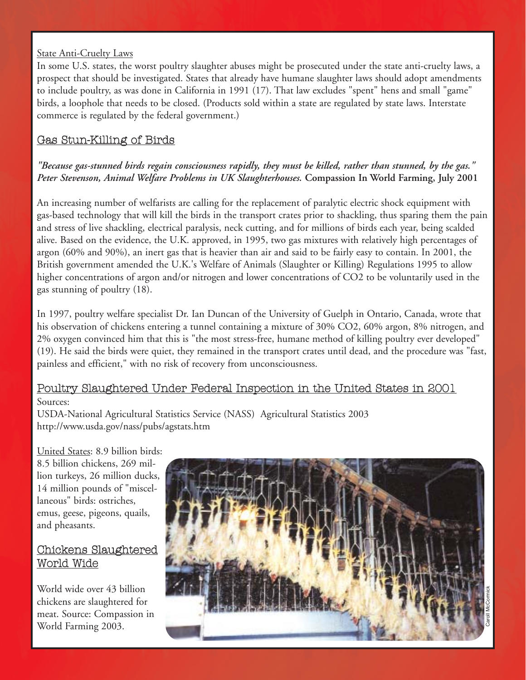#### State Anti-Cruelty Laws

In some U.S. states, the worst poultry slaughter abuses might be prosecuted under the state anti-cruelty laws, a prospect that should be investigated. States that already have humane slaughter laws should adopt amendments to include poultry, as was done in California in 1991 (17). That law excludes "spent" hens and small "game" birds, a loophole that needs to be closed. (Products sold within a state are regulated by state laws. Interstate commerce is regulated by the federal government.)

## Gas Stun-Killing of Birds

## *"Because gas-stunned birds regain consciousness rapidly, they must be killed, rather than stunned, by the gas." Peter Stevenson, Animal Welfare Problems in UK Slaughterhouses.* **Compassion In World Farming, July 2001**

An increasing number of welfarists are calling for the replacement of paralytic electric shock equipment with gas-based technology that will kill the birds in the transport crates prior to shackling, thus sparing them the pain and stress of live shackling, electrical paralysis, neck cutting, and for millions of birds each year, being scalded alive. Based on the evidence, the U.K. approved, in 1995, two gas mixtures with relatively high percentages of argon (60% and 90%), an inert gas that is heavier than air and said to be fairly easy to contain. In 2001, the British government amended the U.K.'s Welfare of Animals (Slaughter or Killing) Regulations 1995 to allow higher concentrations of argon and/or nitrogen and lower concentrations of CO2 to be voluntarily used in the gas stunning of poultry (18).

In 1997, poultry welfare specialist Dr. Ian Duncan of the University of Guelph in Ontario, Canada, wrote that his observation of chickens entering a tunnel containing a mixture of 30% CO2, 60% argon, 8% nitrogen, and 2% oxygen convinced him that this is "the most stress-free, humane method of killing poultry ever developed" (19). He said the birds were quiet, they remained in the transport crates until dead, and the procedure was "fast, painless and efficient," with no risk of recovery from unconsciousness.

## Poultry Slaughtered Under Federal Inspection in the United States in 2001

#### Sources:

USDA-National Agricultural Statistics Service (NASS) Agricultural Statistics 2003 http://www.usda.gov/nass/pubs/agstats.htm

United States: 8.9 billion birds: 8.5 billion chickens, 269 million turkeys, 26 million ducks, 14 million pounds of "miscellaneous" birds: ostriches, emus, geese, pigeons, quails, and pheasants.

## Chickens Slaughtered World Wide

World wide over 43 billion chickens are slaughtered for meat. Source: Compassion in World Farming 2003.

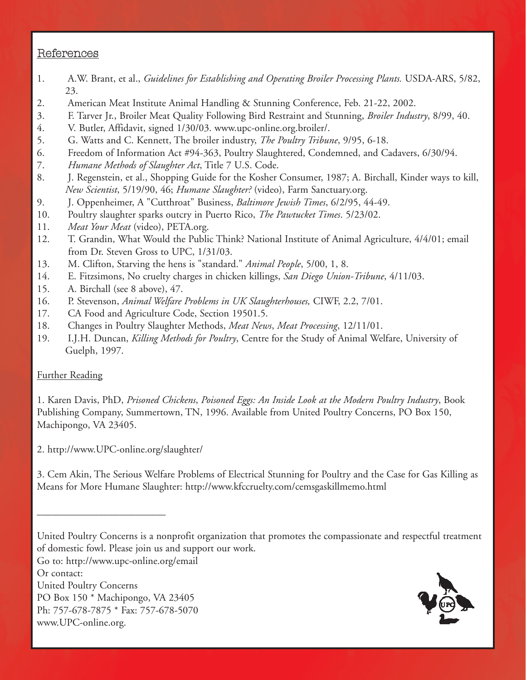## References

- 1. A.W. Brant, et al., *Guidelines for Establishing and Operating Broiler Processing Plants.* USDA-ARS, 5/82, 23.
- 2. American Meat Institute Animal Handling & Stunning Conference, Feb. 21-22, 2002.
- 3. F. Tarver Jr., Broiler Meat Quality Following Bird Restraint and Stunning, *Broiler Industry*, 8/99, 40.
- 4. V. Butler, Affidavit, signed 1/30/03. www.upc-online.org.broiler/.
- 5. G. Watts and C. Kennett, The broiler industry, *The Poultry Tribune*, 9/95, 6-18.
- 6. Freedom of Information Act #94-363, Poultry Slaughtered, Condemned, and Cadavers, 6/30/94.
- 7. *Humane Methods of Slaughter Act*, Title 7 U.S. Code.
- 8. J. Regenstein, et al., Shopping Guide for the Kosher Consumer, 1987; A. Birchall, Kinder ways to kill, *New Scientist*, 5/19/90, 46; *Humane Slaughter?* (video), Farm Sanctuary.org.
- 9. J. Oppenheimer, A "Cutthroat" Business, *Baltimore Jewish Times*, 6/2/95, 44-49.
- 10. Poultry slaughter sparks outcry in Puerto Rico, *The Pawtucket Times*. 5/23/02.
- 11. *Meat Your Meat* (video), PETA.org.
- 12. T. Grandin, What Would the Public Think? National Institute of Animal Agriculture, 4/4/01; email from Dr. Steven Gross to UPC, 1/31/03.
- 13. M. Clifton, Starving the hens is "standard." *Animal People*, 5/00, 1, 8.
- 14. E. Fitzsimons, No cruelty charges in chicken killings, *San Diego Union-Tribune*, 4/11/03.
- 15. A. Birchall (see 8 above), 47.
- 16. P. Stevenson, *Animal Welfare Problems in UK Slaughterhouses,* CIWF, 2.2, 7/01.
- 17. CA Food and Agriculture Code, Section 19501.5.
- 18. Changes in Poultry Slaughter Methods, *Meat News*, *Meat Processing*, 12/11/01.
- 19. I.J.H. Duncan, *Killing Methods for Poultry*, Centre for the Study of Animal Welfare, University of Guelph, 1997.

## Further Reading

1. Karen Davis, PhD, *Prisoned Chickens*, *Poisoned Eggs: An Inside Look at the Modern Poultry Industry*, Book Publishing Company, Summertown, TN, 1996. Available from United Poultry Concerns, PO Box 150, Machipongo, VA 23405.

2. http://www.UPC-online.org/slaughter/

3. Cem Akin, The Serious Welfare Problems of Electrical Stunning for Poultry and the Case for Gas Killing as Means for More Humane Slaughter: http://www.kfccruelty.com/cemsgaskillmemo.html

Go to: http://www.upc-online.org/email

Or contact:

United Poultry Concerns

\_\_\_\_\_\_\_\_\_\_\_\_\_\_\_\_\_\_\_\_\_\_\_\_\_

PO Box 150 \* Machipongo, VA 23405

Ph: 757-678-7875 \* Fax: 757-678-5070

www.UPC-online.org.



United Poultry Concerns is a nonprofit organization that promotes the compassionate and respectful treatment of domestic fowl. Please join us and support our work.